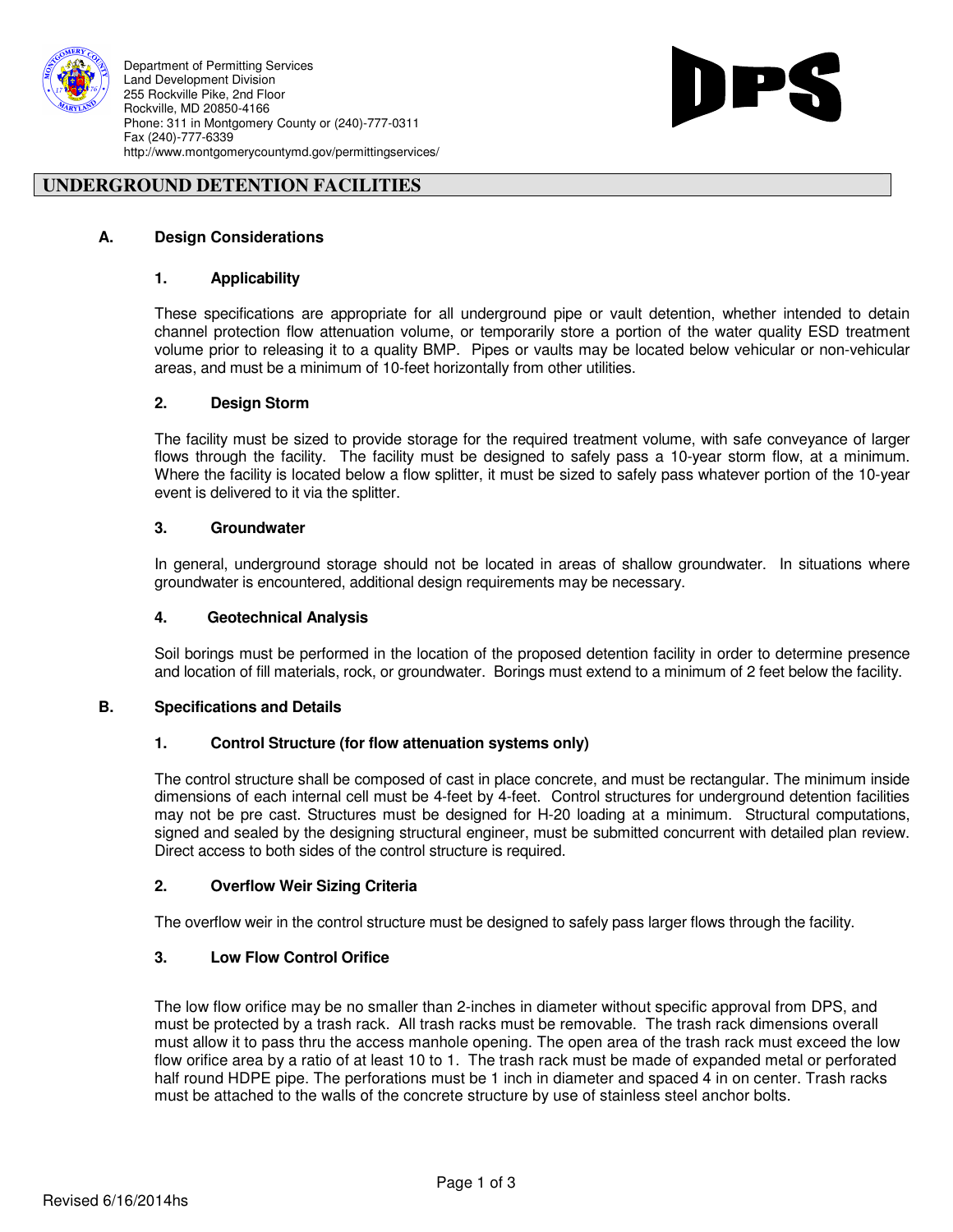

Department of Permitting Services Land Development Division 255 Rockville Pike, 2nd Floor Rockville, MD 20850-4166 Phone: 311 in Montgomery County or (240)-777-0311 Fax (240)-777-6339 http://www.montgomerycountymd.gov/permittingservices/



# **UNDERGROUND DETENTION FACILITIES**

### **A. Design Considerations**

#### **1. Applicability**

 These specifications are appropriate for all underground pipe or vault detention, whether intended to detain channel protection flow attenuation volume, or temporarily store a portion of the water quality ESD treatment volume prior to releasing it to a quality BMP. Pipes or vaults may be located below vehicular or non-vehicular areas, and must be a minimum of 10-feet horizontally from other utilities.

#### **2. Design Storm**

 The facility must be sized to provide storage for the required treatment volume, with safe conveyance of larger flows through the facility. The facility must be designed to safely pass a 10-year storm flow, at a minimum. Where the facility is located below a flow splitter, it must be sized to safely pass whatever portion of the 10-year event is delivered to it via the splitter.

### **3. Groundwater**

In general, underground storage should not be located in areas of shallow groundwater. In situations where groundwater is encountered, additional design requirements may be necessary.

#### **4. Geotechnical Analysis**

 Soil borings must be performed in the location of the proposed detention facility in order to determine presence and location of fill materials, rock, or groundwater. Borings must extend to a minimum of 2 feet below the facility.

#### **B. Specifications and Details**

#### **1. Control Structure (for flow attenuation systems only)**

 The control structure shall be composed of cast in place concrete, and must be rectangular. The minimum inside dimensions of each internal cell must be 4-feet by 4-feet. Control structures for underground detention facilities may not be pre cast. Structures must be designed for H-20 loading at a minimum. Structural computations, signed and sealed by the designing structural engineer, must be submitted concurrent with detailed plan review. Direct access to both sides of the control structure is required.

#### **2. Overflow Weir Sizing Criteria**

The overflow weir in the control structure must be designed to safely pass larger flows through the facility.

#### **3. Low Flow Control Orifice**

The low flow orifice may be no smaller than 2-inches in diameter without specific approval from DPS, and must be protected by a trash rack. All trash racks must be removable. The trash rack dimensions overall must allow it to pass thru the access manhole opening. The open area of the trash rack must exceed the low flow orifice area by a ratio of at least 10 to 1. The trash rack must be made of expanded metal or perforated half round HDPE pipe. The perforations must be 1 inch in diameter and spaced 4 in on center. Trash racks must be attached to the walls of the concrete structure by use of stainless steel anchor bolts.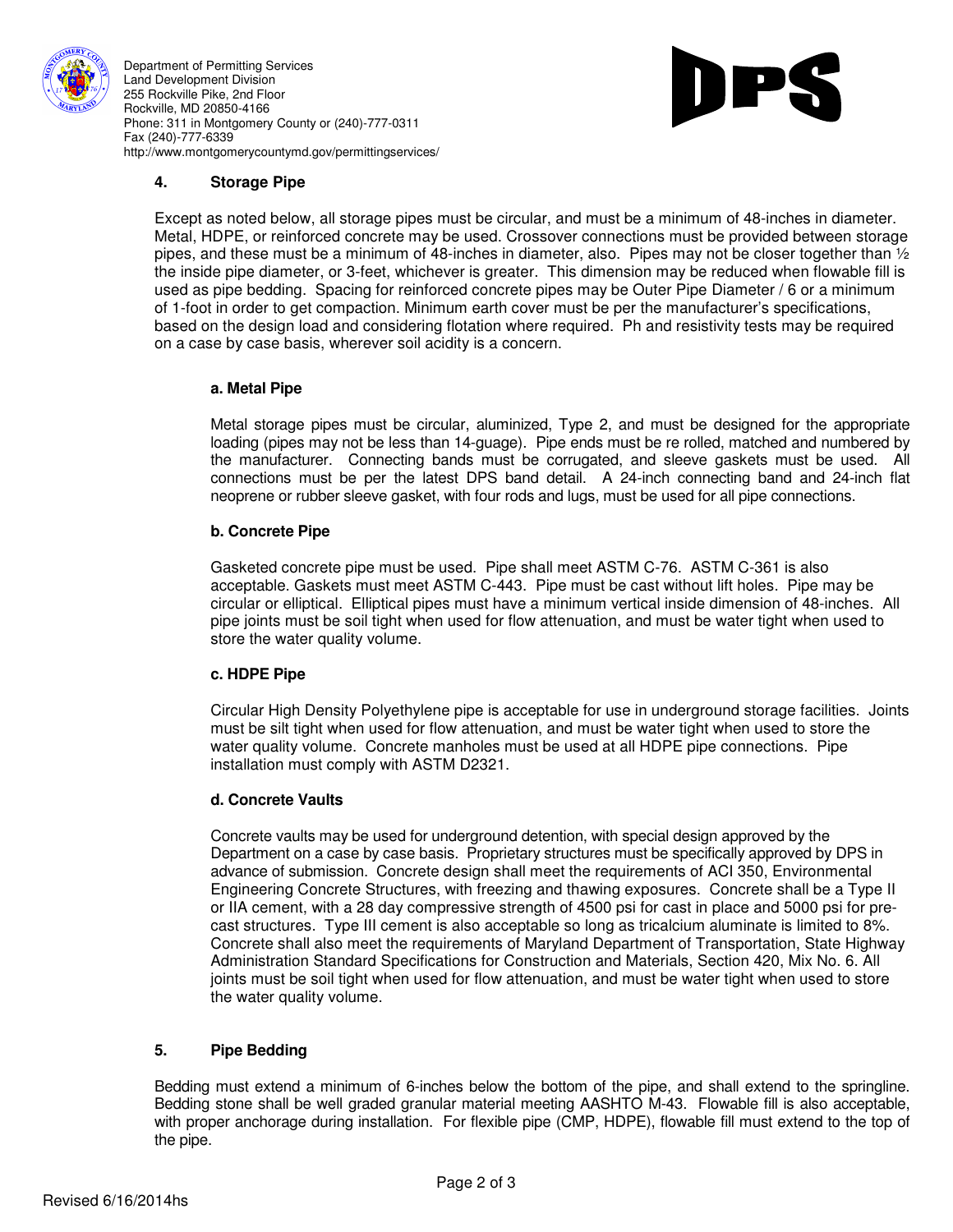

Department of Permitting Services Land Development Division 255 Rockville Pike, 2nd Floor Rockville, MD 20850-4166 Phone: 311 in Montgomery County or (240)-777-0311 Fax (240)-777-6339 http://www.montgomerycountymd.gov/permittingservices/



# **4. Storage Pipe**

Except as noted below, all storage pipes must be circular, and must be a minimum of 48-inches in diameter. Metal, HDPE, or reinforced concrete may be used. Crossover connections must be provided between storage pipes, and these must be a minimum of 48-inches in diameter, also. Pipes may not be closer together than ½ the inside pipe diameter, or 3-feet, whichever is greater. This dimension may be reduced when flowable fill is used as pipe bedding. Spacing for reinforced concrete pipes may be Outer Pipe Diameter / 6 or a minimum of 1-foot in order to get compaction. Minimum earth cover must be per the manufacturer's specifications, based on the design load and considering flotation where required. Ph and resistivity tests may be required on a case by case basis, wherever soil acidity is a concern.

### **a. Metal Pipe**

Metal storage pipes must be circular, aluminized, Type 2, and must be designed for the appropriate loading (pipes may not be less than 14-guage). Pipe ends must be re rolled, matched and numbered by the manufacturer. Connecting bands must be corrugated, and sleeve gaskets must be used. All connections must be per the latest DPS band detail. A 24-inch connecting band and 24-inch flat neoprene or rubber sleeve gasket, with four rods and lugs, must be used for all pipe connections.

## **b. Concrete Pipe**

Gasketed concrete pipe must be used. Pipe shall meet ASTM C-76. ASTM C-361 is also acceptable. Gaskets must meet ASTM C-443. Pipe must be cast without lift holes. Pipe may be circular or elliptical. Elliptical pipes must have a minimum vertical inside dimension of 48-inches. All pipe joints must be soil tight when used for flow attenuation, and must be water tight when used to store the water quality volume.

## **c. HDPE Pipe**

Circular High Density Polyethylene pipe is acceptable for use in underground storage facilities. Joints must be silt tight when used for flow attenuation, and must be water tight when used to store the water quality volume. Concrete manholes must be used at all HDPE pipe connections. Pipe installation must comply with ASTM D2321.

## **d. Concrete Vaults**

Concrete vaults may be used for underground detention, with special design approved by the Department on a case by case basis. Proprietary structures must be specifically approved by DPS in advance of submission. Concrete design shall meet the requirements of ACI 350, Environmental Engineering Concrete Structures, with freezing and thawing exposures. Concrete shall be a Type II or IIA cement, with a 28 day compressive strength of 4500 psi for cast in place and 5000 psi for precast structures. Type III cement is also acceptable so long as tricalcium aluminate is limited to 8%. Concrete shall also meet the requirements of Maryland Department of Transportation, State Highway Administration Standard Specifications for Construction and Materials, Section 420, Mix No. 6. All joints must be soil tight when used for flow attenuation, and must be water tight when used to store the water quality volume.

## **5. Pipe Bedding**

 Bedding must extend a minimum of 6-inches below the bottom of the pipe, and shall extend to the springline. Bedding stone shall be well graded granular material meeting AASHTO M-43. Flowable fill is also acceptable, with proper anchorage during installation. For flexible pipe (CMP, HDPE), flowable fill must extend to the top of the pipe.